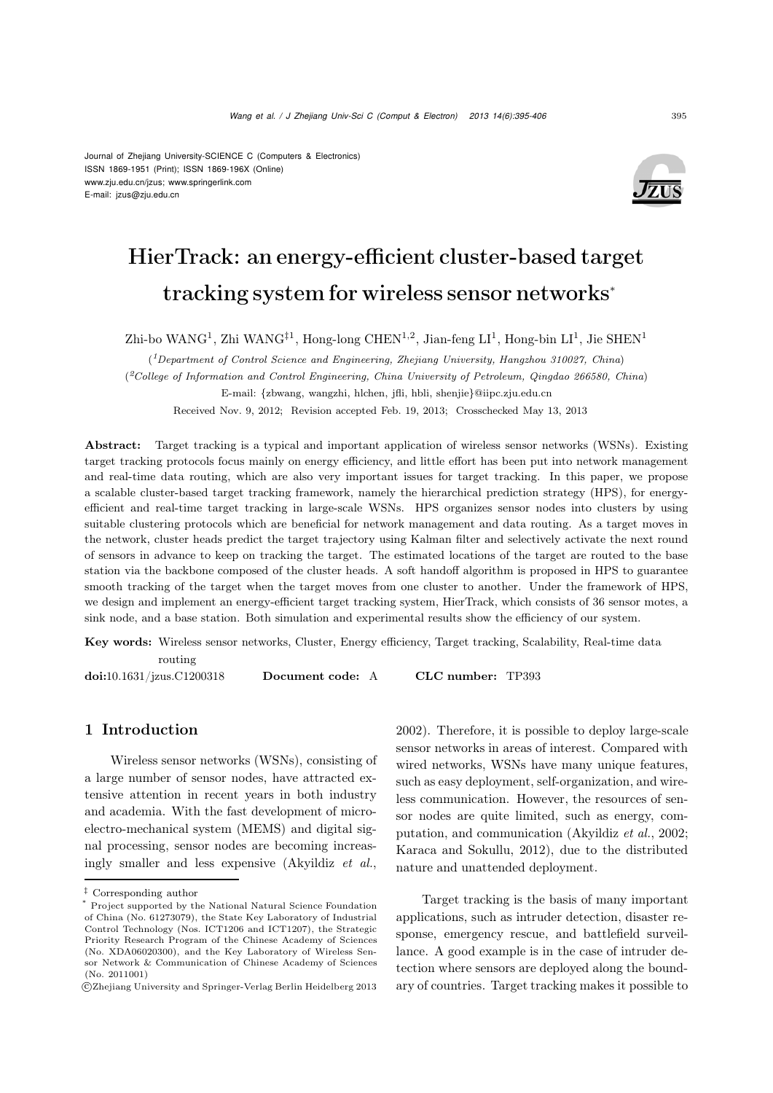#### Journal of Zhejiang University-SCIENCE C (Computers & Electronics) ISSN 1869-1951 (Print); ISSN 1869-196X (Online) www.zju.edu.cn/jzus; www.springerlink.com E-mail: jzus@zju.edu.cn



# HierTrack: an energy-efficient cluster-based target tracking system for wireless sensor networks<sup>∗</sup>

Zhi-bo WANG<sup>1</sup>, Zhi WANG<sup>‡1</sup>, Hong-long CHEN<sup>1,2</sup>, Jian-feng LI<sup>1</sup>, Hong-bin LI<sup>1</sup>, Jie SHEN<sup>1</sup>

(*1Department of Control Science and Engineering, Zhejiang University, Hangzhou 310027, China*) (*2College of Information and Control Engineering, China University of Petroleum, Qingdao 266580, China*) E-mail: {zbwang, wangzhi, hlchen, jfli, hbli, shenjie}@iipc.zju.edu.cn Received Nov. 9, 2012; Revision accepted Feb. 19, 2013; Crosschecked May 13, 2013

Abstract: Target tracking is a typical and important application of wireless sensor networks (WSNs). Existing target tracking protocols focus mainly on energy efficiency, and little effort has been put into network management and real-time data routing, which are also very important issues for target tracking. In this paper, we propose a scalable cluster-based target tracking framework, namely the hierarchical prediction strategy (HPS), for energyefficient and real-time target tracking in large-scale WSNs. HPS organizes sensor nodes into clusters by using suitable clustering protocols which are beneficial for network management and data routing. As a target moves in the network, cluster heads predict the target trajectory using Kalman filter and selectively activate the next round of sensors in advance to keep on tracking the target. The estimated locations of the target are routed to the base station via the backbone composed of the cluster heads. A soft handoff algorithm is proposed in HPS to guarantee smooth tracking of the target when the target moves from one cluster to another. Under the framework of HPS, we design and implement an energy-efficient target tracking system, HierTrack, which consists of 36 sensor motes, a sink node, and a base station. Both simulation and experimental results show the efficiency of our system.

Key words: Wireless sensor networks, Cluster, Energy efficiency, Target tracking, Scalability, Real-time data routing

doi:10.1631/jzus.C1200318 Document code: A CLC number: TP393

# 1 Introduction

Wireless sensor networks (WSNs), consisting of a large number of sensor nodes, have attracted extensive attention in recent years in both industry and academia. With the fast development of microelectro-mechanical system (MEMS) and digital signal processing, sensor nodes are becoming increasingly smaller and less expensive (Akyildiz *et al.*,

2002). Therefore, it is possible to deploy large-scale sensor networks in areas of interest. Compared with wired networks, WSNs have many unique features, such as easy deployment, self-organization, and wireless communication. However, the resources of sensor nodes are quite limited, such as energy, computation, and communication (Akyildiz *et al.*, 2002; Karaca and Sokullu, 2012), due to the distributed nature and unattended deployment.

Target tracking is the basis of many important applications, such as intruder detection, disaster response, emergency rescue, and battlefield surveillance. A good example is in the case of intruder detection where sensors are deployed along the boundary of countries. Target tracking makes it possible to

*<sup>‡</sup>* Corresponding author

Project supported by the National Natural Science Foundation of China (No. 61273079), the State Key Laboratory of Industrial Control Technology (Nos. ICT1206 and ICT1207), the Strategic Priority Research Program of the Chinese Academy of Sciences (No. XDA06020300), and the Key Laboratory of Wireless Sensor Network & Communication of Chinese Academy of Sciences (No. 2011001)

c Zhejiang University and Springer-Verlag Berlin Heidelberg 2013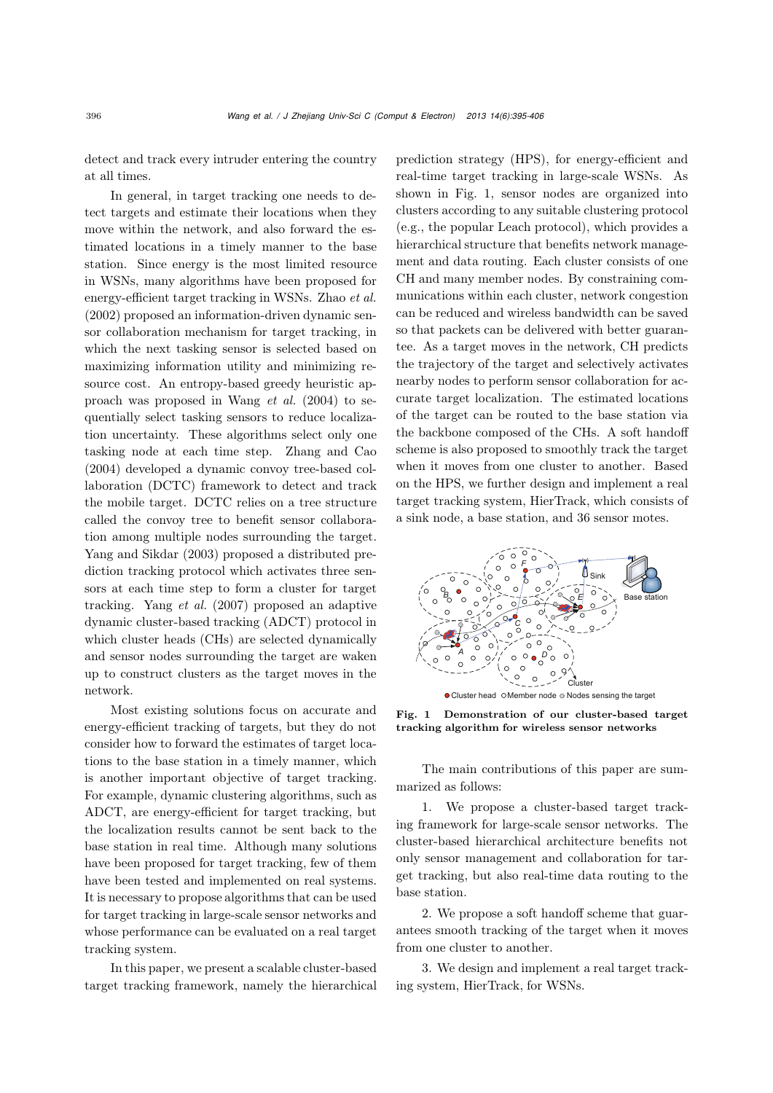detect and track every intruder entering the country at all times.

In general, in target tracking one needs to detect targets and estimate their locations when they move within the network, and also forward the estimated locations in a timely manner to the base station. Since energy is the most limited resource in WSNs, many algorithms have been proposed for energy-efficient target tracking in WSNs. Zhao *et al.* (2002) proposed an information-driven dynamic sensor collaboration mechanism for target tracking, in which the next tasking sensor is selected based on maximizing information utility and minimizing resource cost. An entropy-based greedy heuristic approach was proposed in Wang *et al.* (2004) to sequentially select tasking sensors to reduce localization uncertainty. These algorithms select only one tasking node at each time step. Zhang and Cao (2004) developed a dynamic convoy tree-based collaboration (DCTC) framework to detect and track the mobile target. DCTC relies on a tree structure called the convoy tree to benefit sensor collaboration among multiple nodes surrounding the target. Yang and Sikdar (2003) proposed a distributed prediction tracking protocol which activates three sensors at each time step to form a cluster for target tracking. Yang *et al.* (2007) proposed an adaptive dynamic cluster-based tracking (ADCT) protocol in which cluster heads (CHs) are selected dynamically and sensor nodes surrounding the target are waken up to construct clusters as the target moves in the network.

Most existing solutions focus on accurate and energy-efficient tracking of targets, but they do not consider how to forward the estimates of target locations to the base station in a timely manner, which is another important objective of target tracking. For example, dynamic clustering algorithms, such as ADCT, are energy-efficient for target tracking, but the localization results cannot be sent back to the base station in real time. Although many solutions have been proposed for target tracking, few of them have been tested and implemented on real systems. It is necessary to propose algorithms that can be used for target tracking in large-scale sensor networks and whose performance can be evaluated on a real target tracking system.

In this paper, we present a scalable cluster-based target tracking framework, namely the hierarchical

prediction strategy (HPS), for energy-efficient and real-time target tracking in large-scale WSNs. As shown in Fig. 1, sensor nodes are organized into clusters according to any suitable clustering protocol (e.g., the popular Leach protocol), which provides a hierarchical structure that benefits network management and data routing. Each cluster consists of one CH and many member nodes. By constraining communications within each cluster, network congestion can be reduced and wireless bandwidth can be saved so that packets can be delivered with better guarantee. As a target moves in the network, CH predicts the trajectory of the target and selectively activates nearby nodes to perform sensor collaboration for accurate target localization. The estimated locations of the target can be routed to the base station via the backbone composed of the CHs. A soft handoff scheme is also proposed to smoothly track the target when it moves from one cluster to another. Based on the HPS, we further design and implement a real target tracking system, HierTrack, which consists of a sink node, a base station, and 36 sensor motes.



Fig. 1 Demonstration of our cluster-based target tracking algorithm for wireless sensor networks

The main contributions of this paper are summarized as follows:

1. We propose a cluster-based target tracking framework for large-scale sensor networks. The cluster-based hierarchical architecture benefits not only sensor management and collaboration for target tracking, but also real-time data routing to the base station.

2. We propose a soft handoff scheme that guarantees smooth tracking of the target when it moves from one cluster to another.

3. We design and implement a real target tracking system, HierTrack, for WSNs.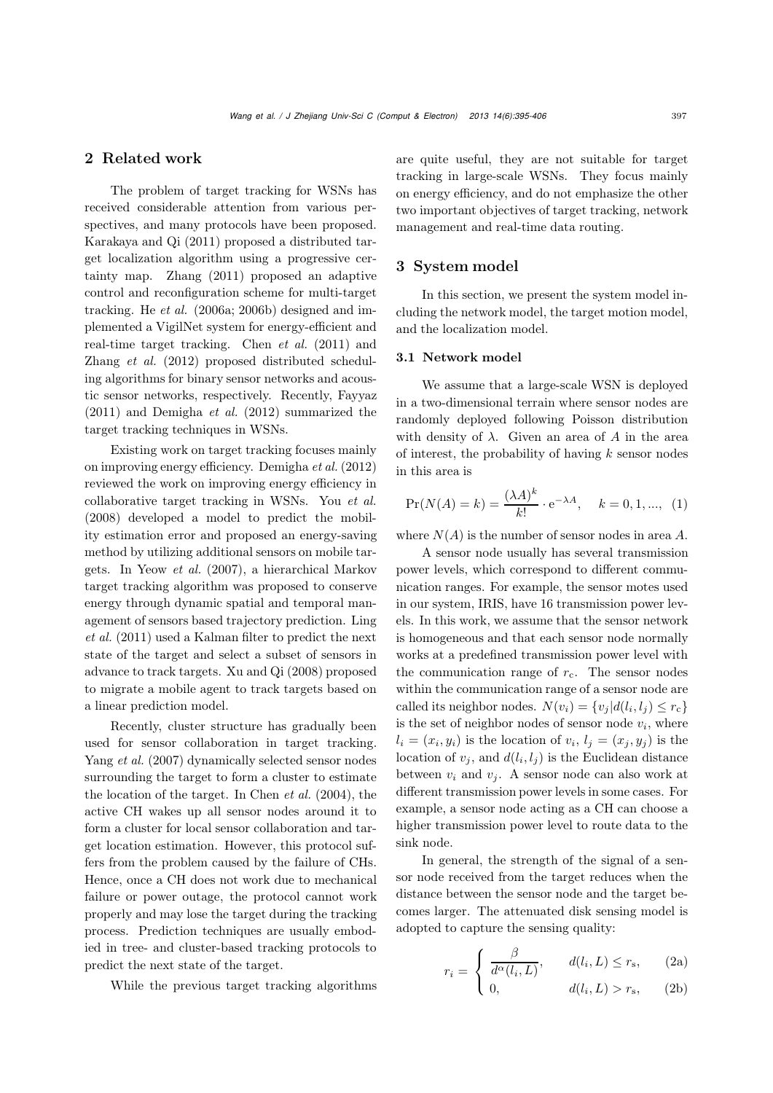# 2 Related work

The problem of target tracking for WSNs has received considerable attention from various perspectives, and many protocols have been proposed. Karakaya and Qi (2011) proposed a distributed target localization algorithm using a progressive certainty map. Zhang (2011) proposed an adaptive control and reconfiguration scheme for multi-target tracking. He *et al.* (2006a; 2006b) designed and implemented a VigilNet system for energy-efficient and real-time target tracking. Chen *et al.* (2011) and Zhang *et al.* (2012) proposed distributed scheduling algorithms for binary sensor networks and acoustic sensor networks, respectively. Recently, Fayyaz (2011) and Demigha *et al.* (2012) summarized the target tracking techniques in WSNs.

Existing work on target tracking focuses mainly on improving energy efficiency. Demigha *et al.* (2012) reviewed the work on improving energy efficiency in collaborative target tracking in WSNs. You *et al.* (2008) developed a model to predict the mobility estimation error and proposed an energy-saving method by utilizing additional sensors on mobile targets. In Yeow *et al.* (2007), a hierarchical Markov target tracking algorithm was proposed to conserve energy through dynamic spatial and temporal management of sensors based trajectory prediction. Ling *et al.* (2011) used a Kalman filter to predict the next state of the target and select a subset of sensors in advance to track targets. Xu and Qi (2008) proposed to migrate a mobile agent to track targets based on a linear prediction model.

Recently, cluster structure has gradually been used for sensor collaboration in target tracking. Yang *et al.* (2007) dynamically selected sensor nodes surrounding the target to form a cluster to estimate the location of the target. In Chen *et al.* (2004), the active CH wakes up all sensor nodes around it to form a cluster for local sensor collaboration and target location estimation. However, this protocol suffers from the problem caused by the failure of CHs. Hence, once a CH does not work due to mechanical failure or power outage, the protocol cannot work properly and may lose the target during the tracking process. Prediction techniques are usually embodied in tree- and cluster-based tracking protocols to predict the next state of the target.

While the previous target tracking algorithms

are quite useful, they are not suitable for target tracking in large-scale WSNs. They focus mainly on energy efficiency, and do not emphasize the other two important objectives of target tracking, network management and real-time data routing.

# 3 System model

In this section, we present the system model including the network model, the target motion model, and the localization model.

#### 3.1 Network model

We assume that a large-scale WSN is deployed in a two-dimensional terrain where sensor nodes are randomly deployed following Poisson distribution with density of  $\lambda$ . Given an area of A in the area of interest, the probability of having  $k$  sensor nodes in this area is

$$
Pr(N(A) = k) = \frac{(\lambda A)^k}{k!} \cdot e^{-\lambda A}, \quad k = 0, 1, ..., (1)
$$

where  $N(A)$  is the number of sensor nodes in area A.

A sensor node usually has several transmission power levels, which correspond to different communication ranges. For example, the sensor motes used in our system, IRIS, have 16 transmission power levels. In this work, we assume that the sensor network is homogeneous and that each sensor node normally works at a predefined transmission power level with the communication range of  $r_c$ . The sensor nodes within the communication range of a sensor node are called its neighbor nodes.  $N(v_i) = \{v_i | d(l_i, l_i) \leq r_c\}$ is the set of neighbor nodes of sensor node  $v_i$ , where  $l_i = (x_i, y_i)$  is the location of  $v_i, l_j = (x_j, y_j)$  is the location of  $v_j$ , and  $d(l_i, l_j)$  is the Euclidean distance between  $v_i$  and  $v_j$ . A sensor node can also work at different transmission power levels in some cases. For example, a sensor node acting as a CH can choose a higher transmission power level to route data to the sink node.

In general, the strength of the signal of a sensor node received from the target reduces when the distance between the sensor node and the target becomes larger. The attenuated disk sensing model is adopted to capture the sensing quality:

$$
r_i = \begin{cases} \frac{\beta}{d^{\alpha}(l_i, L)}, & d(l_i, L) \le r_s, \quad (2a) \\ \frac{\beta}{d^{\alpha}(l_i, L)}, & \frac{\beta}{d^{\alpha}(l_i, L)} \le r_s, \quad (2b) \end{cases}
$$

$$
(0, \t d(l_i, L) > r_s, \t (2b)
$$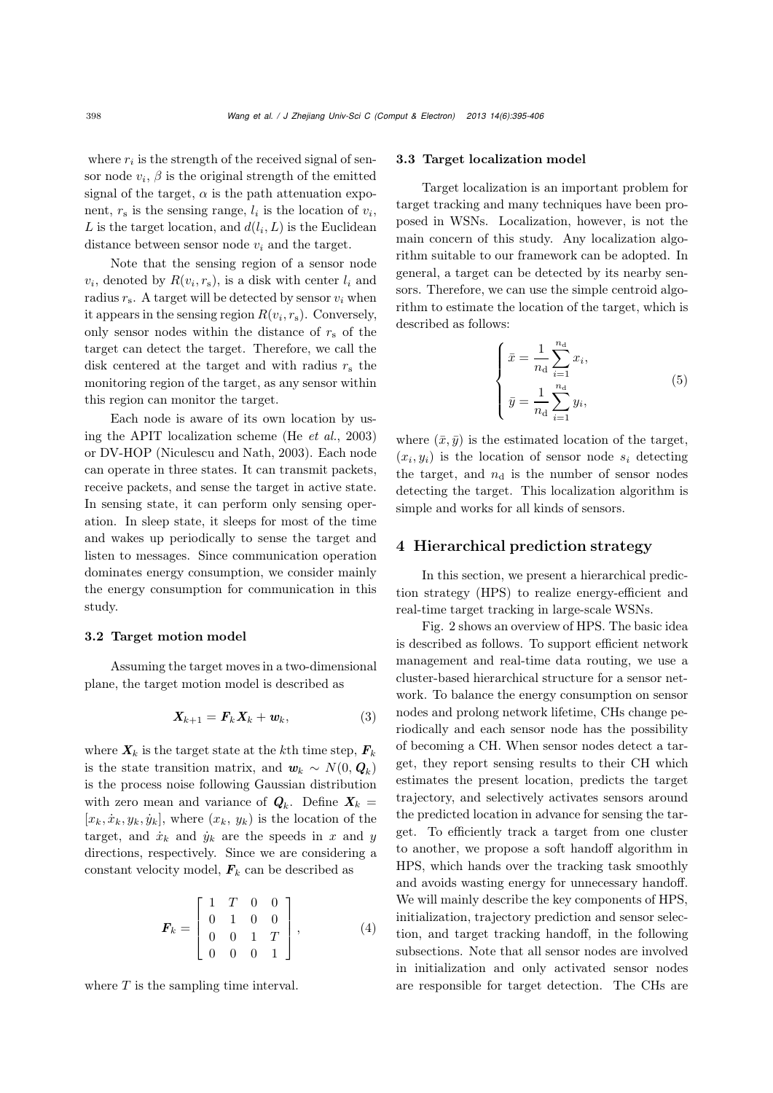where  $r_i$  is the strength of the received signal of sensor node  $v_i$ ,  $\beta$  is the original strength of the emitted signal of the target,  $\alpha$  is the path attenuation exponent,  $r_s$  is the sensing range,  $l_i$  is the location of  $v_i$ , L is the target location, and  $d(l_i, L)$  is the Euclidean distance between sensor node  $v_i$  and the target.

Note that the sensing region of a sensor node  $v_i$ , denoted by  $R(v_i, r_s)$ , is a disk with center  $l_i$  and radius  $r_s$ . A target will be detected by sensor  $v_i$  when it appears in the sensing region  $R(v_i, r_s)$ . Conversely, only sensor nodes within the distance of  $r<sub>s</sub>$  of the target can detect the target. Therefore, we call the disk centered at the target and with radius  $r<sub>s</sub>$  the monitoring region of the target, as any sensor within this region can monitor the target.

Each node is aware of its own location by using the APIT localization scheme (He *et al.*, 2003) or DV-HOP (Niculescu and Nath, 2003). Each node can operate in three states. It can transmit packets, receive packets, and sense the target in active state. In sensing state, it can perform only sensing operation. In sleep state, it sleeps for most of the time and wakes up periodically to sense the target and listen to messages. Since communication operation dominates energy consumption, we consider mainly the energy consumption for communication in this study.

#### 3.2 Target motion model

Assuming the target moves in a two-dimensional plane, the target motion model is described as

$$
\boldsymbol{X}_{k+1} = \boldsymbol{F}_k \boldsymbol{X}_k + \boldsymbol{w}_k, \tag{3}
$$

where  $X_k$  is the target state at the kth time step,  $F_k$ is the state transition matrix, and  $w_k \sim N(0, Q_k)$ is the process noise following Gaussian distribution with zero mean and variance of  $Q_k$ . Define  $X_k =$  $[x_k, \dot{x}_k, y_k, \dot{y}_k]$ , where  $(x_k, y_k)$  is the location of the target, and  $\dot{x}_k$  and  $\dot{y}_k$  are the speeds in x and y directions, respectively. Since we are considering a constant velocity model,  $\boldsymbol{F}_k$  can be described as

$$
\boldsymbol{F}_k = \left[ \begin{array}{cccc} 1 & T & 0 & 0 \\ 0 & 1 & 0 & 0 \\ 0 & 0 & 1 & T \\ 0 & 0 & 0 & 1 \end{array} \right], \tag{4}
$$

where  $T$  is the sampling time interval.

#### 3.3 Target localization model

Target localization is an important problem for target tracking and many techniques have been proposed in WSNs. Localization, however, is not the main concern of this study. Any localization algorithm suitable to our framework can be adopted. In general, a target can be detected by its nearby sensors. Therefore, we can use the simple centroid algorithm to estimate the location of the target, which is described as follows:

$$
\begin{cases}\n\bar{x} = \frac{1}{n_d} \sum_{i=1}^{n_d} x_i, \\
\bar{y} = \frac{1}{n_d} \sum_{i=1}^{n_d} y_i,\n\end{cases} (5)
$$

where  $(\bar{x}, \bar{y})$  is the estimated location of the target,  $(x_i, y_i)$  is the location of sensor node  $s_i$  detecting the target, and  $n_d$  is the number of sensor nodes detecting the target. This localization algorithm is simple and works for all kinds of sensors.

# 4 Hierarchical prediction strategy

In this section, we present a hierarchical prediction strategy (HPS) to realize energy-efficient and real-time target tracking in large-scale WSNs.

Fig. 2 shows an overview of HPS. The basic idea is described as follows. To support efficient network management and real-time data routing, we use a cluster-based hierarchical structure for a sensor network. To balance the energy consumption on sensor nodes and prolong network lifetime, CHs change periodically and each sensor node has the possibility of becoming a CH. When sensor nodes detect a target, they report sensing results to their CH which estimates the present location, predicts the target trajectory, and selectively activates sensors around the predicted location in advance for sensing the target. To efficiently track a target from one cluster to another, we propose a soft handoff algorithm in HPS, which hands over the tracking task smoothly and avoids wasting energy for unnecessary handoff. We will mainly describe the key components of HPS, initialization, trajectory prediction and sensor selection, and target tracking handoff, in the following subsections. Note that all sensor nodes are involved in initialization and only activated sensor nodes are responsible for target detection. The CHs are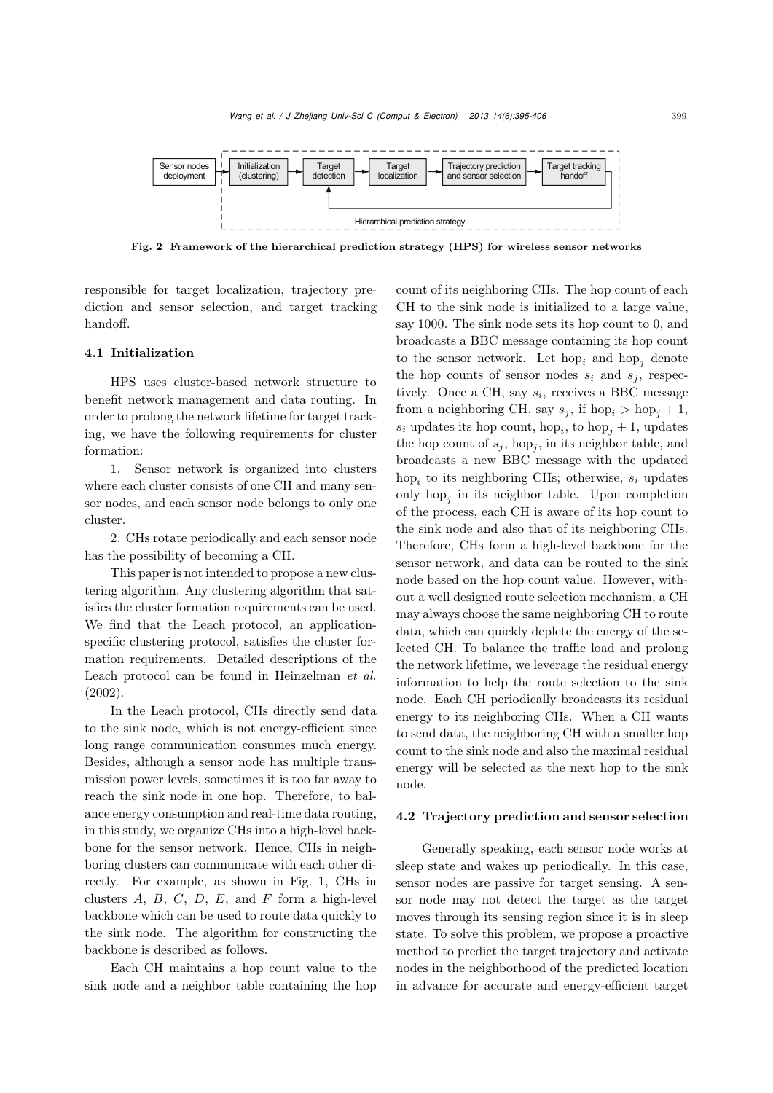

Fig. 2 Framework of the hierarchical prediction strategy (HPS) for wireless sensor networks

responsible for target localization, trajectory prediction and sensor selection, and target tracking handoff.

## 4.1 Initialization

HPS uses cluster-based network structure to benefit network management and data routing. In order to prolong the network lifetime for target tracking, we have the following requirements for cluster formation:

1. Sensor network is organized into clusters where each cluster consists of one CH and many sensor nodes, and each sensor node belongs to only one cluster.

2. CHs rotate periodically and each sensor node has the possibility of becoming a CH.

This paper is not intended to propose a new clustering algorithm. Any clustering algorithm that satisfies the cluster formation requirements can be used. We find that the Leach protocol, an applicationspecific clustering protocol, satisfies the cluster formation requirements. Detailed descriptions of the Leach protocol can be found in Heinzelman *et al.* (2002).

In the Leach protocol, CHs directly send data to the sink node, which is not energy-efficient since long range communication consumes much energy. Besides, although a sensor node has multiple transmission power levels, sometimes it is too far away to reach the sink node in one hop. Therefore, to balance energy consumption and real-time data routing, in this study, we organize CHs into a high-level backbone for the sensor network. Hence, CHs in neighboring clusters can communicate with each other directly. For example, as shown in Fig. 1, CHs in clusters  $A, B, C, D, E, \text{ and } F \text{ form a high-level}$ backbone which can be used to route data quickly to the sink node. The algorithm for constructing the backbone is described as follows.

Each CH maintains a hop count value to the sink node and a neighbor table containing the hop

count of its neighboring CHs. The hop count of each CH to the sink node is initialized to a large value, say 1000. The sink node sets its hop count to 0, and broadcasts a BBC message containing its hop count to the sensor network. Let hop<sub>i</sub> and hop<sub>j</sub> denote the hop counts of sensor nodes  $s_i$  and  $s_j$ , respectively. Once a CH, say  $s_i$ , receives a BBC message from a neighboring CH, say  $s_i$ , if hop<sub>i</sub> > hop<sub>i</sub> + 1,  $s_i$  updates its hop count, hop<sub>i</sub>, to hop<sub>i</sub> + 1, updates the hop count of  $s_j$ , hop<sub>j</sub>, in its neighbor table, and broadcasts a new BBC message with the updated hop, to its neighboring CHs; otherwise,  $s_i$  updates only hop<sub>i</sub> in its neighbor table. Upon completion of the process, each CH is aware of its hop count to the sink node and also that of its neighboring CHs. Therefore, CHs form a high-level backbone for the sensor network, and data can be routed to the sink node based on the hop count value. However, without a well designed route selection mechanism, a CH may always choose the same neighboring CH to route data, which can quickly deplete the energy of the selected CH. To balance the traffic load and prolong the network lifetime, we leverage the residual energy information to help the route selection to the sink node. Each CH periodically broadcasts its residual energy to its neighboring CHs. When a CH wants to send data, the neighboring CH with a smaller hop count to the sink node and also the maximal residual energy will be selected as the next hop to the sink node.

#### 4.2 Trajectory prediction and sensor selection

Generally speaking, each sensor node works at sleep state and wakes up periodically. In this case, sensor nodes are passive for target sensing. A sensor node may not detect the target as the target moves through its sensing region since it is in sleep state. To solve this problem, we propose a proactive method to predict the target trajectory and activate nodes in the neighborhood of the predicted location in advance for accurate and energy-efficient target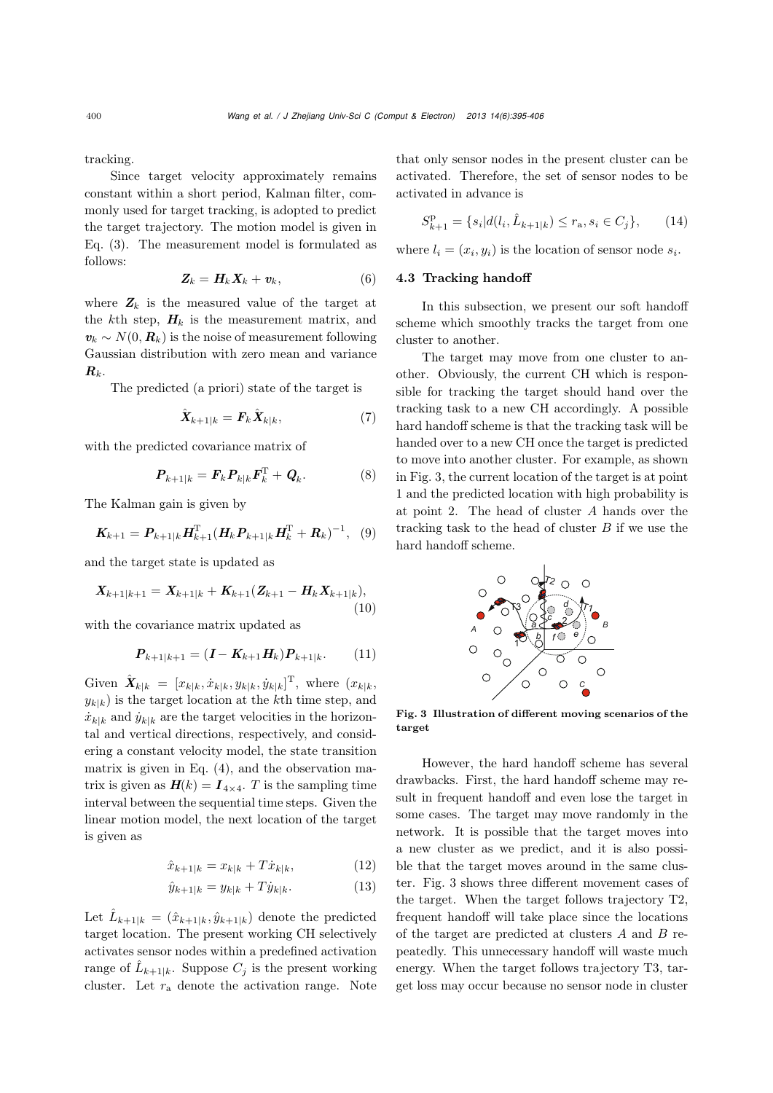tracking.

Since target velocity approximately remains constant within a short period, Kalman filter, commonly used for target tracking, is adopted to predict the target trajectory. The motion model is given in Eq. (3). The measurement model is formulated as follows:

$$
\mathbf{Z}_k = \mathbf{H}_k \mathbf{X}_k + \mathbf{v}_k, \tag{6}
$$

where  $Z_k$  is the measured value of the target at the kth step,  $H_k$  is the measurement matrix, and  $v_k \sim N(0, R_k)$  is the noise of measurement following Gaussian distribution with zero mean and variance  $R_k$ .

The predicted (a priori) state of the target is

$$
\hat{\boldsymbol{X}}_{k+1|k} = \boldsymbol{F}_k \hat{\boldsymbol{X}}_{k|k},\tag{7}
$$

with the predicted covariance matrix of

$$
\boldsymbol{P}_{k+1|k} = \boldsymbol{F}_k \boldsymbol{P}_{k|k} \boldsymbol{F}_k^{\mathrm{T}} + \boldsymbol{Q}_k. \tag{8}
$$

The Kalman gain is given by

$$
K_{k+1} = P_{k+1|k} H_{k+1}^{\mathrm{T}} (H_k P_{k+1|k} H_k^{\mathrm{T}} + R_k)^{-1}, \quad (9)
$$

and the target state is updated as

$$
\boldsymbol{X}_{k+1|k+1} = \boldsymbol{X}_{k+1|k} + \boldsymbol{K}_{k+1} (\boldsymbol{Z}_{k+1} - \boldsymbol{H}_k \boldsymbol{X}_{k+1|k}),
$$
\n(10)

with the covariance matrix updated as

$$
P_{k+1|k+1} = (I - K_{k+1}H_k)P_{k+1|k}.
$$
 (11)

Given  $\hat{\textbf{X}}_{k|k} = [x_{k|k}, \dot{x}_{k|k}, y_{k|k}, \dot{y}_{k|k}]^{\text{T}}$ , where  $(x_{k|k},$  $y_{k|k}$ ) is the target location at the k<sup>th</sup> time step, and  $\dot{x}_{k|k}$  and  $\dot{y}_{k|k}$  are the target velocities in the horizontal and vertical directions, respectively, and considering a constant velocity model, the state transition matrix is given in Eq. (4), and the observation matrix is given as  $H(k) = I_{4 \times 4}$ . T is the sampling time interval between the sequential time steps. Given the linear motion model, the next location of the target is given as

$$
\hat{x}_{k+1|k} = x_{k|k} + T\dot{x}_{k|k},
$$
\n(12)

$$
\hat{y}_{k+1|k} = y_{k|k} + T\dot{y}_{k|k}.
$$
\n(13)

Let  $\hat{L}_{k+1|k} = (\hat{x}_{k+1|k}, \hat{y}_{k+1|k})$  denote the predicted target location. The present working CH selectively activates sensor nodes within a predefined activation range of  $\hat{L}_{k+1|k}$ . Suppose  $C_j$  is the present working cluster. Let  $r_a$  denote the activation range. Note that only sensor nodes in the present cluster can be activated. Therefore, the set of sensor nodes to be activated in advance is

$$
S_{k+1}^{\mathcal{P}} = \{ s_i | d(l_i, \hat{L}_{k+1|k}) \le r_{\mathbf{a}}, s_i \in C_j \}, \qquad (14)
$$

where  $l_i = (x_i, y_i)$  is the location of sensor node  $s_i$ .

## 4.3 Tracking handoff

In this subsection, we present our soft handoff scheme which smoothly tracks the target from one cluster to another.

The target may move from one cluster to another. Obviously, the current CH which is responsible for tracking the target should hand over the tracking task to a new CH accordingly. A possible hard handoff scheme is that the tracking task will be handed over to a new CH once the target is predicted to move into another cluster. For example, as shown in Fig. 3, the current location of the target is at point 1 and the predicted location with high probability is at point 2. The head of cluster A hands over the tracking task to the head of cluster  $B$  if we use the hard handoff scheme.



Fig. 3 Illustration of different moving scenarios of the target

However, the hard handoff scheme has several drawbacks. First, the hard handoff scheme may result in frequent handoff and even lose the target in some cases. The target may move randomly in the network. It is possible that the target moves into a new cluster as we predict, and it is also possible that the target moves around in the same cluster. Fig. 3 shows three different movement cases of the target. When the target follows trajectory T2, frequent handoff will take place since the locations of the target are predicted at clusters  $A$  and  $B$  repeatedly. This unnecessary handoff will waste much energy. When the target follows trajectory T3, target loss may occur because no sensor node in cluster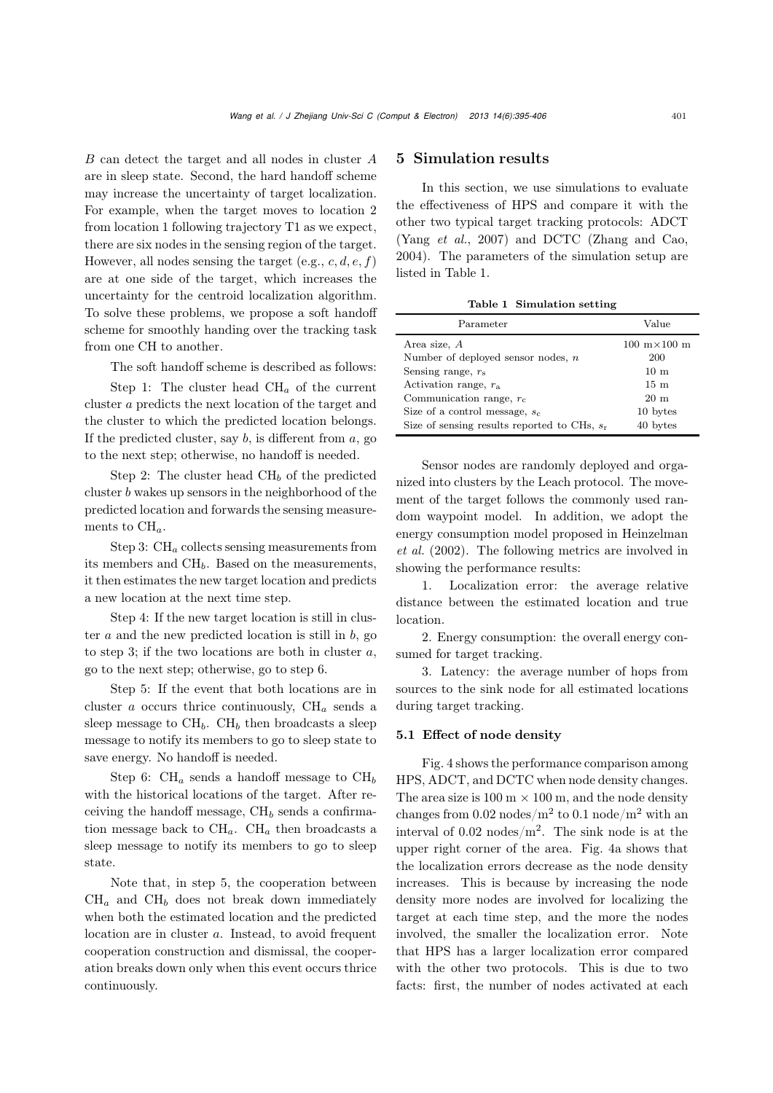B can detect the target and all nodes in cluster A are in sleep state. Second, the hard handoff scheme may increase the uncertainty of target localization. For example, when the target moves to location 2 from location 1 following trajectory T1 as we expect, there are six nodes in the sensing region of the target. However, all nodes sensing the target (e.g.,  $c, d, e, f$ ) are at one side of the target, which increases the uncertainty for the centroid localization algorithm. To solve these problems, we propose a soft handoff scheme for smoothly handing over the tracking task from one CH to another.

The soft handoff scheme is described as follows:

Step 1: The cluster head  $\text{CH}_a$  of the current cluster a predicts the next location of the target and the cluster to which the predicted location belongs. If the predicted cluster, say  $b$ , is different from  $a$ , go to the next step; otherwise, no handoff is needed.

Step 2: The cluster head  $\mathrm{CH}_b$  of the predicted cluster b wakes up sensors in the neighborhood of the predicted location and forwards the sensing measurements to  $\mathrm{CH}_a$ .

Step 3:  $\text{CH}_a$  collects sensing measurements from its members and  $\mathrm{CH}_{h}$ . Based on the measurements, it then estimates the new target location and predicts a new location at the next time step.

Step 4: If the new target location is still in cluster  $a$  and the new predicted location is still in  $b$ , go to step 3; if the two locations are both in cluster  $a$ , go to the next step; otherwise, go to step 6.

Step 5: If the event that both locations are in cluster a occurs thrice continuously,  $CH_a$  sends a sleep message to  $\text{CH}_b$ .  $\text{CH}_b$  then broadcasts a sleep message to notify its members to go to sleep state to save energy. No handoff is needed.

Step 6:  $\text{CH}_a$  sends a handoff message to  $\text{CH}_b$ with the historical locations of the target. After receiving the handoff message,  $CH<sub>b</sub>$  sends a confirmation message back to  $\text{CH}_a$ .  $\text{CH}_a$  then broadcasts a sleep message to notify its members to go to sleep state.

Note that, in step 5, the cooperation between  $CH_a$  and  $CH_b$  does not break down immediately when both the estimated location and the predicted location are in cluster a. Instead, to avoid frequent cooperation construction and dismissal, the cooperation breaks down only when this event occurs thrice continuously.

# 5 Simulation results

In this section, we use simulations to evaluate the effectiveness of HPS and compare it with the other two typical target tracking protocols: ADCT (Yang *et al.*, 2007) and DCTC (Zhang and Cao, 2004). The parameters of the simulation setup are listed in Table 1.

Table 1 Simulation setting

| Parameter                                      | Value                                |
|------------------------------------------------|--------------------------------------|
| Area size, A                                   | $100 \text{ m} \times 100 \text{ m}$ |
| Number of deployed sensor nodes, $n$           | 200                                  |
| Sensing range, $r_s$                           | $10 \text{ m}$                       |
| Activation range, $r_a$                        | $15 \text{ m}$                       |
| Communication range, $r_c$                     | $20 \text{ m}$                       |
| Size of a control message, $s_c$               | 10 bytes                             |
| Size of sensing results reported to CHs, $s_r$ | 40 bytes                             |

Sensor nodes are randomly deployed and organized into clusters by the Leach protocol. The movement of the target follows the commonly used random waypoint model. In addition, we adopt the energy consumption model proposed in Heinzelman *et al.* (2002). The following metrics are involved in showing the performance results:

1. Localization error: the average relative distance between the estimated location and true location.

2. Energy consumption: the overall energy consumed for target tracking.

3. Latency: the average number of hops from sources to the sink node for all estimated locations during target tracking.

#### 5.1 Effect of node density

Fig. 4 shows the performance comparison among HPS, ADCT, and DCTC when node density changes. The area size is  $100 \text{ m} \times 100 \text{ m}$ , and the node density changes from  $0.02$  nodes/ $m^2$  to  $0.1$  node/ $m^2$  with an interval of  $0.02$  nodes/ $m^2$ . The sink node is at the upper right corner of the area. Fig. 4a shows that the localization errors decrease as the node density increases. This is because by increasing the node density more nodes are involved for localizing the target at each time step, and the more the nodes involved, the smaller the localization error. Note that HPS has a larger localization error compared with the other two protocols. This is due to two facts: first, the number of nodes activated at each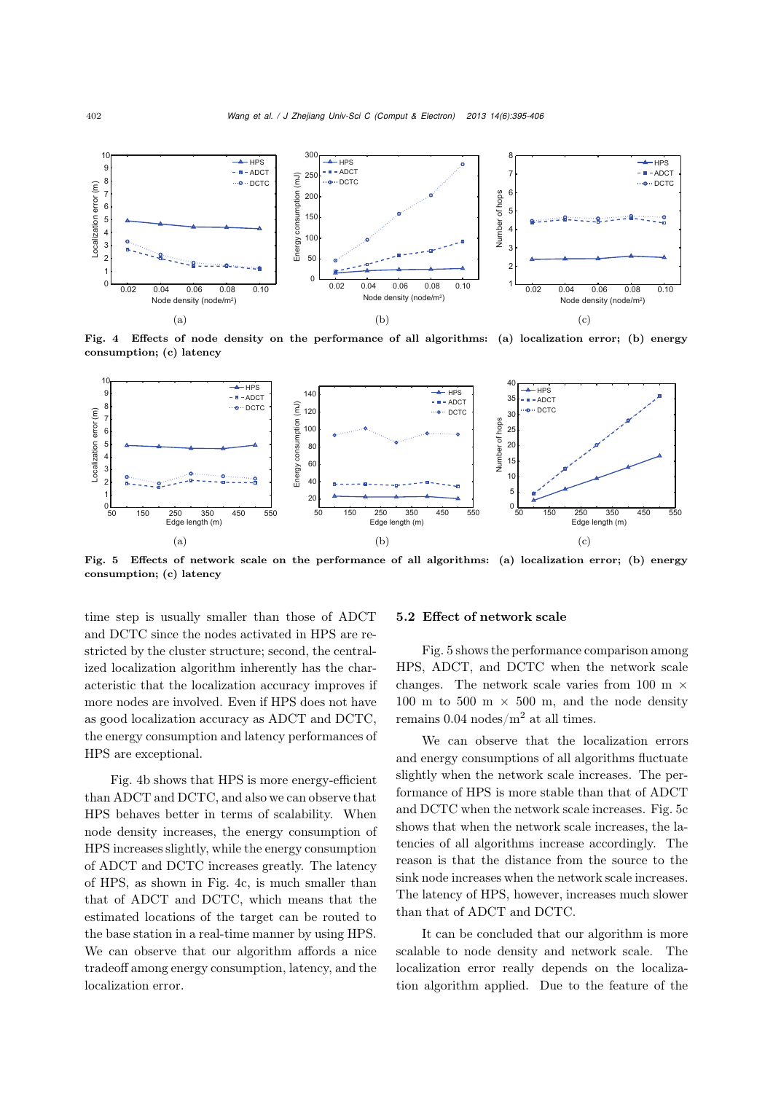

Fig. 4 Effects of node density on the performance of all algorithms: (a) localization error; (b) energy consumption; (c) latency



Fig. 5 Effects of network scale on the performance of all algorithms: (a) localization error; (b) energy consumption; (c) latency

time step is usually smaller than those of ADCT and DCTC since the nodes activated in HPS are restricted by the cluster structure; second, the centralized localization algorithm inherently has the characteristic that the localization accuracy improves if more nodes are involved. Even if HPS does not have as good localization accuracy as ADCT and DCTC, the energy consumption and latency performances of HPS are exceptional.

Fig. 4b shows that HPS is more energy-efficient than ADCT and DCTC, and also we can observe that HPS behaves better in terms of scalability. When node density increases, the energy consumption of HPS increases slightly, while the energy consumption of ADCT and DCTC increases greatly. The latency of HPS, as shown in Fig. 4c, is much smaller than that of ADCT and DCTC, which means that the estimated locations of the target can be routed to the base station in a real-time manner by using HPS. We can observe that our algorithm affords a nice tradeoff among energy consumption, latency, and the localization error.

#### 5.2 Effect of network scale

Fig. 5 shows the performance comparison among HPS, ADCT, and DCTC when the network scale changes. The network scale varies from 100 m  $\times$ 100 m to 500 m  $\times$  500 m, and the node density remains  $0.04$  nodes/ $m<sup>2</sup>$  at all times.

We can observe that the localization errors and energy consumptions of all algorithms fluctuate slightly when the network scale increases. The performance of HPS is more stable than that of ADCT and DCTC when the network scale increases. Fig. 5c shows that when the network scale increases, the latencies of all algorithms increase accordingly. The reason is that the distance from the source to the sink node increases when the network scale increases. The latency of HPS, however, increases much slower than that of ADCT and DCTC.

It can be concluded that our algorithm is more scalable to node density and network scale. The localization error really depends on the localization algorithm applied. Due to the feature of the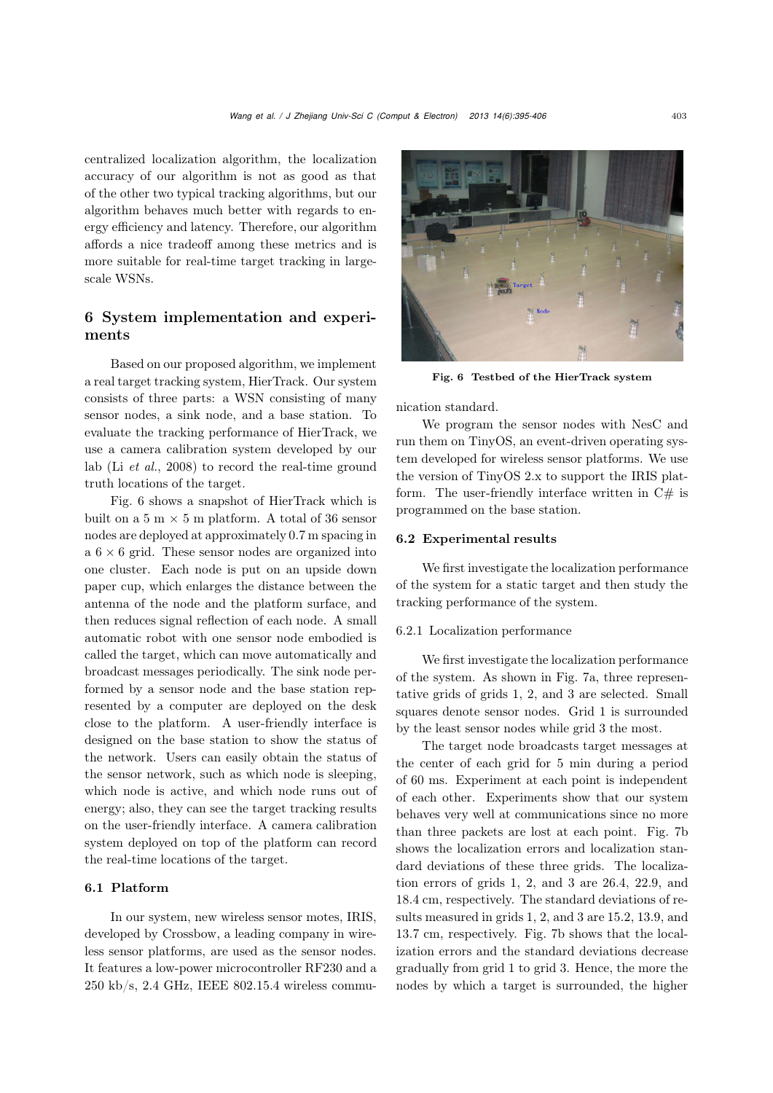centralized localization algorithm, the localization accuracy of our algorithm is not as good as that of the other two typical tracking algorithms, but our algorithm behaves much better with regards to energy efficiency and latency. Therefore, our algorithm affords a nice tradeoff among these metrics and is more suitable for real-time target tracking in largescale WSNs.

# 6 System implementation and experiments

Based on our proposed algorithm, we implement a real target tracking system, HierTrack. Our system consists of three parts: a WSN consisting of many sensor nodes, a sink node, and a base station. To evaluate the tracking performance of HierTrack, we use a camera calibration system developed by our lab (Li *et al.*, 2008) to record the real-time ground truth locations of the target.

Fig. 6 shows a snapshot of HierTrack which is built on a 5 m  $\times$  5 m platform. A total of 36 sensor nodes are deployed at approximately 0.7 m spacing in a  $6 \times 6$  grid. These sensor nodes are organized into one cluster. Each node is put on an upside down paper cup, which enlarges the distance between the antenna of the node and the platform surface, and then reduces signal reflection of each node. A small automatic robot with one sensor node embodied is called the target, which can move automatically and broadcast messages periodically. The sink node performed by a sensor node and the base station represented by a computer are deployed on the desk close to the platform. A user-friendly interface is designed on the base station to show the status of the network. Users can easily obtain the status of the sensor network, such as which node is sleeping, which node is active, and which node runs out of energy; also, they can see the target tracking results on the user-friendly interface. A camera calibration system deployed on top of the platform can record the real-time locations of the target.

## 6.1 Platform

In our system, new wireless sensor motes, IRIS, developed by Crossbow, a leading company in wireless sensor platforms, are used as the sensor nodes. It features a low-power microcontroller RF230 and a 250 kb/s, 2.4 GHz, IEEE 802.15.4 wireless commu-



Fig. 6 Testbed of the HierTrack system

nication standard.

We program the sensor nodes with NesC and run them on TinyOS, an event-driven operating system developed for wireless sensor platforms. We use the version of TinyOS 2.x to support the IRIS platform. The user-friendly interface written in  $C#$  is programmed on the base station.

#### 6.2 Experimental results

We first investigate the localization performance of the system for a static target and then study the tracking performance of the system.

#### 6.2.1 Localization performance

We first investigate the localization performance of the system. As shown in Fig. 7a, three representative grids of grids 1, 2, and 3 are selected. Small squares denote sensor nodes. Grid 1 is surrounded by the least sensor nodes while grid 3 the most.

The target node broadcasts target messages at the center of each grid for 5 min during a period of 60 ms. Experiment at each point is independent of each other. Experiments show that our system behaves very well at communications since no more than three packets are lost at each point. Fig. 7b shows the localization errors and localization standard deviations of these three grids. The localization errors of grids 1, 2, and 3 are 26.4, 22.9, and 18.4 cm, respectively. The standard deviations of results measured in grids 1, 2, and 3 are 15.2, 13.9, and 13.7 cm, respectively. Fig. 7b shows that the localization errors and the standard deviations decrease gradually from grid 1 to grid 3. Hence, the more the nodes by which a target is surrounded, the higher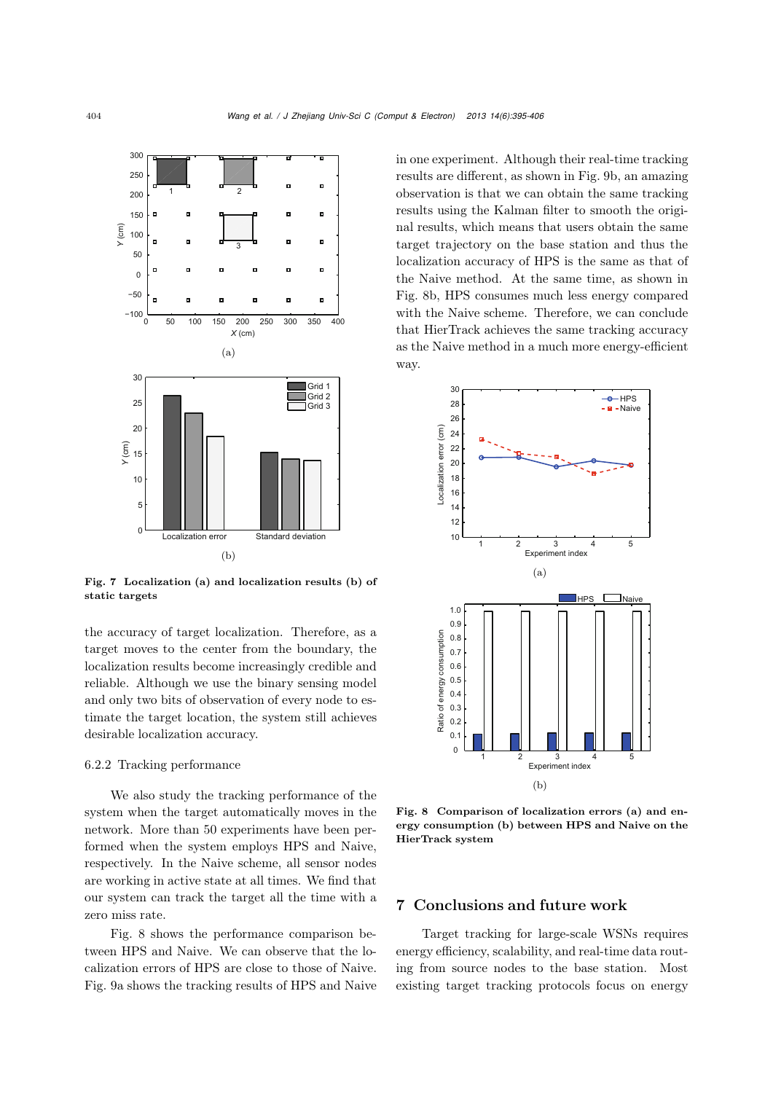

Fig. 7 Localization (a) and localization results (b) of static targets

the accuracy of target localization. Therefore, as a target moves to the center from the boundary, the localization results become increasingly credible and reliable. Although we use the binary sensing model and only two bits of observation of every node to estimate the target location, the system still achieves desirable localization accuracy.

#### 6.2.2 Tracking performance

We also study the tracking performance of the system when the target automatically moves in the network. More than 50 experiments have been performed when the system employs HPS and Naive, respectively. In the Naive scheme, all sensor nodes are working in active state at all times. We find that our system can track the target all the time with a zero miss rate.

Fig. 8 shows the performance comparison between HPS and Naive. We can observe that the localization errors of HPS are close to those of Naive. Fig. 9a shows the tracking results of HPS and Naive in one experiment. Although their real-time tracking results are different, as shown in Fig. 9b, an amazing observation is that we can obtain the same tracking results using the Kalman filter to smooth the original results, which means that users obtain the same target trajectory on the base station and thus the localization accuracy of HPS is the same as that of the Naive method. At the same time, as shown in Fig. 8b, HPS consumes much less energy compared with the Naive scheme. Therefore, we can conclude that HierTrack achieves the same tracking accuracy as the Naive method in a much more energy-efficient way.



Fig. 8 Comparison of localization errors (a) and energy consumption (b) between HPS and Naive on the HierTrack system

# 7 Conclusions and future work

Target tracking for large-scale WSNs requires energy efficiency, scalability, and real-time data routing from source nodes to the base station. Most existing target tracking protocols focus on energy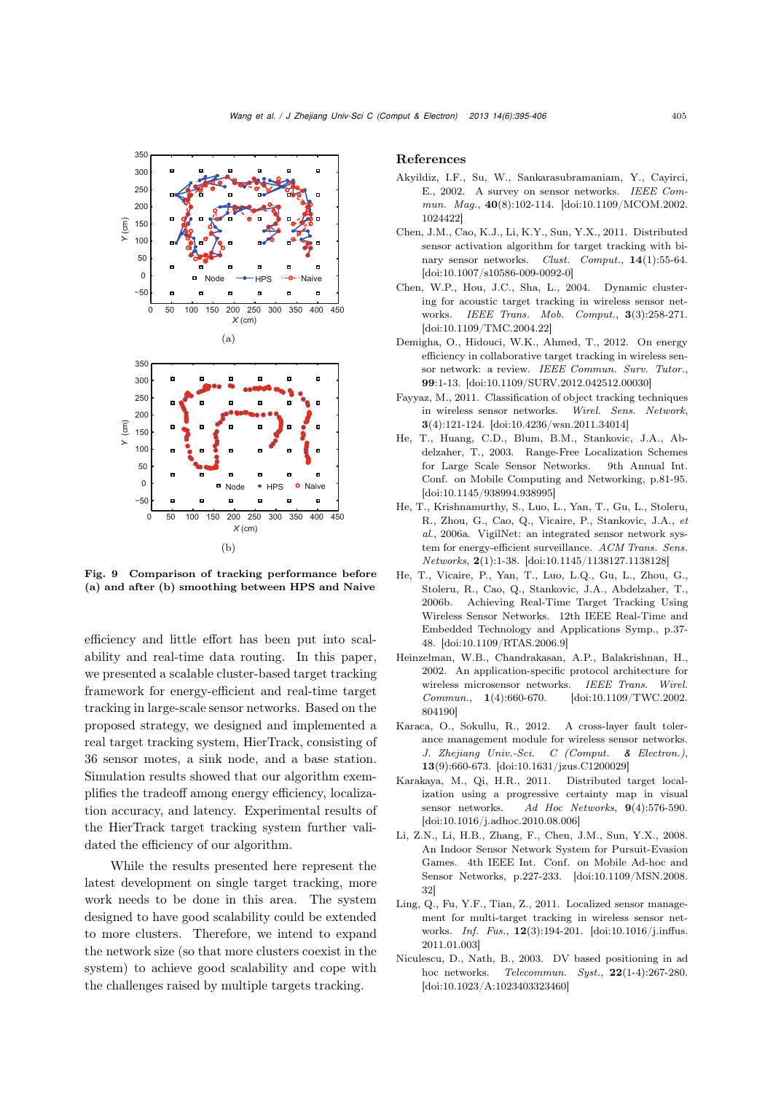

Fig. 9 Comparison of tracking performance before (a) and after (b) smoothing between HPS and Naive

efficiency and little effort has been put into scalability and real-time data routing. In this paper, we presented a scalable cluster-based target tracking framework for energy-efficient and real-time target tracking in large-scale sensor networks. Based on the proposed strategy, we designed and implemented a real target tracking system, HierTrack, consisting of 36 sensor motes, a sink node, and a base station. Simulation results showed that our algorithm exemplifies the tradeoff among energy efficiency, localization accuracy, and latency. Experimental results of the HierTrack target tracking system further validated the efficiency of our algorithm.

While the results presented here represent the latest development on single target tracking, more work needs to be done in this area. The system designed to have good scalability could be extended to more clusters. Therefore, we intend to expand the network size (so that more clusters coexist in the system) to achieve good scalability and cope with the challenges raised by multiple targets tracking.

### References

- Akyildiz, I.F., Su, W., Sankarasubramaniam, Y., Cayirci, E., 2002. A survey on sensor networks. *IEEE Commun. Mag.*, 40(8):102-114. [doi:10.1109/MCOM.2002. 1024422]
- Chen, J.M., Cao, K.J., Li, K.Y., Sun, Y.X., 2011. Distributed sensor activation algorithm for target tracking with binary sensor networks. *Clust. Comput.*, 14(1):55-64. [doi:10.1007/s10586-009-0092-0]
- Chen, W.P., Hou, J.C., Sha, L., 2004. Dynamic clustering for acoustic target tracking in wireless sensor networks. *IEEE Trans. Mob. Comput.*, 3(3):258-271. [doi:10.1109/TMC.2004.22]
- Demigha, O., Hidouci, W.K., Ahmed, T., 2012. On energy efficiency in collaborative target tracking in wireless sensor network: a review. *IEEE Commun. Surv. Tutor.*, 99:1-13. [doi:10.1109/SURV.2012.042512.00030]
- Fayyaz, M., 2011. Classification of object tracking techniques in wireless sensor networks. *Wirel. Sens. Network*, 3(4):121-124. [doi:10.4236/wsn.2011.34014]
- He, T., Huang, C.D., Blum, B.M., Stankovic, J.A., Abdelzaher, T., 2003. Range-Free Localization Schemes for Large Scale Sensor Networks. 9th Annual Int. Conf. on Mobile Computing and Networking, p.81-95. [doi:10.1145/938994.938995]
- He, T., Krishnamurthy, S., Luo, L., Yan, T., Gu, L., Stoleru, R., Zhou, G., Cao, Q., Vicaire, P., Stankovic, J.A., *et al*., 2006a. VigilNet: an integrated sensor network system for energy-efficient surveillance. *ACM Trans. Sens. Networks*, 2(1):1-38. [doi:10.1145/1138127.1138128]
- He, T., Vicaire, P., Yan, T., Luo, L.Q., Gu, L., Zhou, G., Stoleru, R., Cao, Q., Stankovic, J.A., Abdelzaher, T., 2006b. Achieving Real-Time Target Tracking Using Wireless Sensor Networks. 12th IEEE Real-Time and Embedded Technology and Applications Symp., p.37- 48. [doi:10.1109/RTAS.2006.9]
- Heinzelman, W.B., Chandrakasan, A.P., Balakrishnan, H., 2002. An application-specific protocol architecture for wireless microsensor networks. *IEEE Trans. Wirel. Commun.*, 1(4):660-670. [doi:10.1109/TWC.2002. 804190]
- Karaca, O., Sokullu, R., 2012. A cross-layer fault tolerance management module for wireless sensor networks. *J. Zhejiang Univ.-Sci. C (Comput. & Electron.)*, 13(9):660-673. [doi:10.1631/jzus.C1200029]
- Karakaya, M., Qi, H.R., 2011. Distributed target localization using a progressive certainty map in visual sensor networks. *Ad Hoc Networks*, 9(4):576-590. [doi:10.1016/j.adhoc.2010.08.006]
- Li, Z.N., Li, H.B., Zhang, F., Chen, J.M., Sun, Y.X., 2008. An Indoor Sensor Network System for Pursuit-Evasion Games. 4th IEEE Int. Conf. on Mobile Ad-hoc and Sensor Networks, p.227-233. [doi:10.1109/MSN.2008. 32]
- Ling, Q., Fu, Y.F., Tian, Z., 2011. Localized sensor management for multi-target tracking in wireless sensor networks. *Inf. Fus.*, 12(3):194-201. [doi:10.1016/j.inffus. 2011.01.003]
- Niculescu, D., Nath, B., 2003. DV based positioning in ad hoc networks. *Telecommun. Syst.*, 22(1-4):267-280. [doi:10.1023/A:1023403323460]